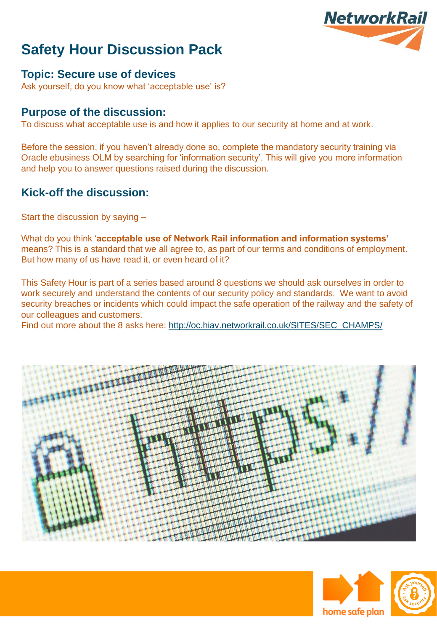

### **Topic: Secure use of devices**

Ask yourself, do you know what 'acceptable use' is?

#### **Purpose of the discussion:**

To discuss what acceptable use is and how it applies to our security at home and at work.

Before the session, if you haven't already done so, complete the mandatory security training via Oracle ebusiness OLM by searching for 'information security'. This will give you more information and help you to answer questions raised during the discussion.

### **Kick-off the discussion:**

Start the discussion by saying –

What do you think '**acceptable use of Network Rail information and information systems'**  means? This is a standard that we all agree to, as part of our terms and conditions of employment. But how many of us have read it, or even heard of it?

This Safety Hour is part of a series based around 8 questions we should ask ourselves in order to work securely and understand the contents of our security policy and standards. We want to avoid security breaches or incidents which could impact the safe operation of the railway and the safety of our colleagues and customers.

Find out more about the 8 asks here: [http://oc.hiav.networkrail.co.uk/SITES/SEC\\_CHAMPS/](http://oc.hiav.networkrail.co.uk/SITES/SEC_CHAMPS/)





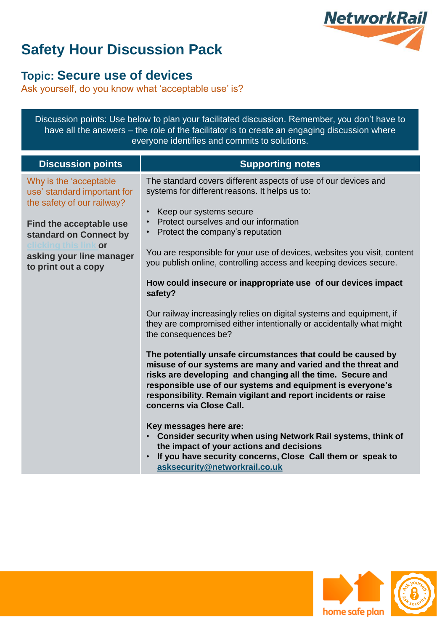

### **Topic: Secure use of devices**

Ask yourself, do you know what 'acceptable use' is?

| have all the answers – the role of the facilitator is to create an engaging discussion where<br>everyone identifies and commits to solutions.                                                     |                                                                                                                                                                                                                                                                                                                                                                                                                                                                                                                                                                                                                                                                                                                                                                                                                                                                                                                                                                                                                                                                                                                                                                                                                                                                                  |
|---------------------------------------------------------------------------------------------------------------------------------------------------------------------------------------------------|----------------------------------------------------------------------------------------------------------------------------------------------------------------------------------------------------------------------------------------------------------------------------------------------------------------------------------------------------------------------------------------------------------------------------------------------------------------------------------------------------------------------------------------------------------------------------------------------------------------------------------------------------------------------------------------------------------------------------------------------------------------------------------------------------------------------------------------------------------------------------------------------------------------------------------------------------------------------------------------------------------------------------------------------------------------------------------------------------------------------------------------------------------------------------------------------------------------------------------------------------------------------------------|
| <b>Discussion points</b>                                                                                                                                                                          | <b>Supporting notes</b>                                                                                                                                                                                                                                                                                                                                                                                                                                                                                                                                                                                                                                                                                                                                                                                                                                                                                                                                                                                                                                                                                                                                                                                                                                                          |
| Why is the 'acceptable<br>use' standard important for<br>the safety of our railway?<br>Find the acceptable use<br>standard on Connect by<br>or<br>asking your line manager<br>to print out a copy | The standard covers different aspects of use of our devices and<br>systems for different reasons. It helps us to:<br>Keep our systems secure<br>$\bullet$<br>Protect ourselves and our information<br>$\bullet$<br>Protect the company's reputation<br>$\bullet$<br>You are responsible for your use of devices, websites you visit, content<br>you publish online, controlling access and keeping devices secure.<br>How could insecure or inappropriate use of our devices impact<br>safety?<br>Our railway increasingly relies on digital systems and equipment, if<br>they are compromised either intentionally or accidentally what might<br>the consequences be?<br>The potentially unsafe circumstances that could be caused by<br>misuse of our systems are many and varied and the threat and<br>risks are developing and changing all the time. Secure and<br>responsible use of our systems and equipment is everyone's<br>responsibility. Remain vigilant and report incidents or raise<br>concerns via Close Call.<br>Key messages here are:<br>Consider security when using Network Rail systems, think of<br>$\bullet$<br>the impact of your actions and decisions<br>If you have security concerns, Close Call them or speak to<br>asksecurity@networkrail.co.uk |

Discussion points: Use below to plan your facilitated discussion. Remember, you don't have to



/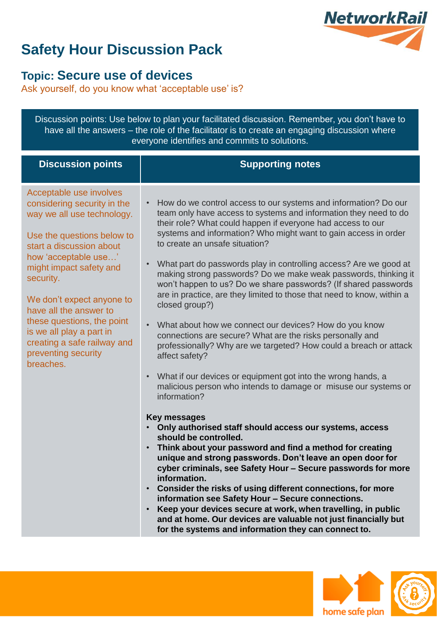

### **Topic: Secure use of devices**

Ask yourself, do you know what 'acceptable use' is?

Discussion points: Use below to plan your facilitated discussion. Remember, you don't have to have all the answers – the role of the facilitator is to create an engaging discussion where everyone identifies and commits to solutions.

| <b>Discussion points</b>                                                                                                                                                                                                                                                                                                                                                                           | <b>Supporting notes</b>                                                                                                                                                                                                                                                                                                                                                                                                                                                                                                                                                                                                                                                                                                                                                                                                                                                                                                                                                                                                                                                                                                                                                                                                                                                                                                                                                                                                                                                                                                                                                                                                                                      |
|----------------------------------------------------------------------------------------------------------------------------------------------------------------------------------------------------------------------------------------------------------------------------------------------------------------------------------------------------------------------------------------------------|--------------------------------------------------------------------------------------------------------------------------------------------------------------------------------------------------------------------------------------------------------------------------------------------------------------------------------------------------------------------------------------------------------------------------------------------------------------------------------------------------------------------------------------------------------------------------------------------------------------------------------------------------------------------------------------------------------------------------------------------------------------------------------------------------------------------------------------------------------------------------------------------------------------------------------------------------------------------------------------------------------------------------------------------------------------------------------------------------------------------------------------------------------------------------------------------------------------------------------------------------------------------------------------------------------------------------------------------------------------------------------------------------------------------------------------------------------------------------------------------------------------------------------------------------------------------------------------------------------------------------------------------------------------|
| Acceptable use involves<br>considering security in the<br>way we all use technology.<br>Use the questions below to<br>start a discussion about<br>how 'acceptable use'<br>might impact safety and<br>security.<br>We don't expect anyone to<br>have all the answer to<br>these questions, the point<br>is we all play a part in<br>creating a safe railway and<br>preventing security<br>breaches. | How do we control access to our systems and information? Do our<br>$\bullet$<br>team only have access to systems and information they need to do<br>their role? What could happen if everyone had access to our<br>systems and information? Who might want to gain access in order<br>to create an unsafe situation?<br>What part do passwords play in controlling access? Are we good at<br>making strong passwords? Do we make weak passwords, thinking it<br>won't happen to us? Do we share passwords? (If shared passwords<br>are in practice, are they limited to those that need to know, within a<br>closed group?)<br>What about how we connect our devices? How do you know<br>connections are secure? What are the risks personally and<br>professionally? Why are we targeted? How could a breach or attack<br>affect safety?<br>What if our devices or equipment got into the wrong hands, a<br>$\bullet$<br>malicious person who intends to damage or misuse our systems or<br>information?<br><b>Key messages</b><br>Only authorised staff should access our systems, access<br>should be controlled.<br>• Think about your password and find a method for creating<br>unique and strong passwords. Don't leave an open door for<br>cyber criminals, see Safety Hour - Secure passwords for more<br>information.<br>• Consider the risks of using different connections, for more<br>information see Safety Hour - Secure connections.<br>Keep your devices secure at work, when travelling, in public<br>$\bullet$<br>and at home. Our devices are valuable not just financially but<br>for the systems and information they can connect to. |



/